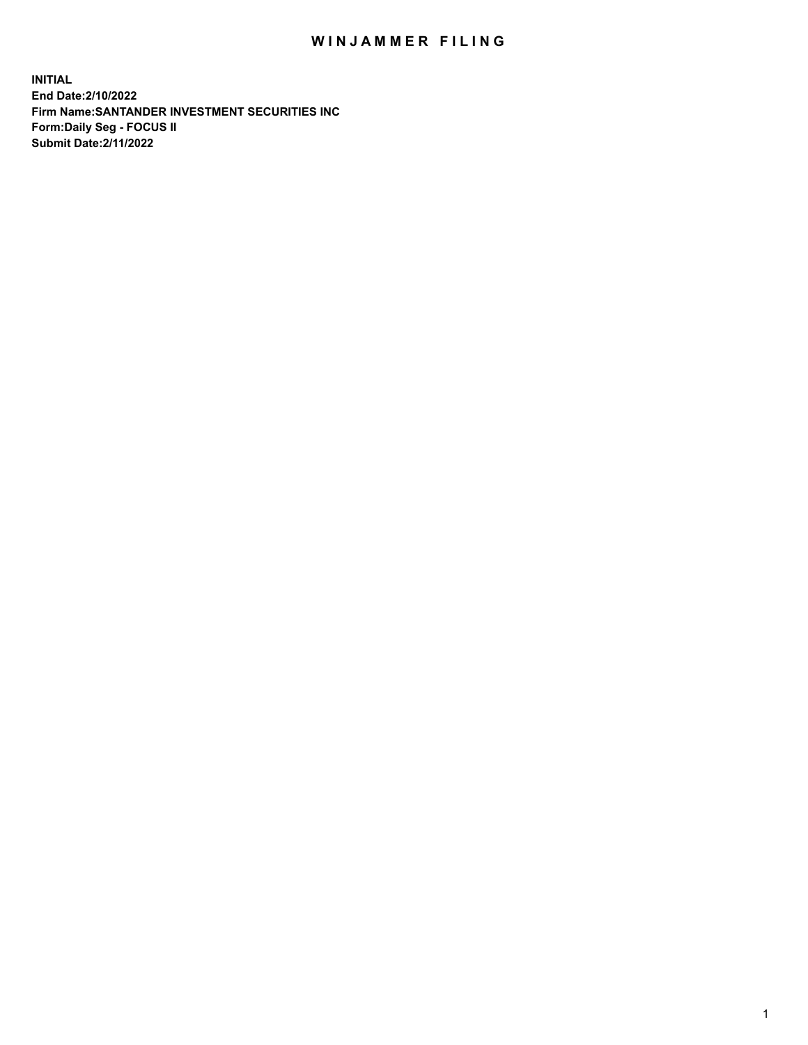## WIN JAMMER FILING

**INITIAL End Date:2/10/2022 Firm Name:SANTANDER INVESTMENT SECURITIES INC Form:Daily Seg - FOCUS II Submit Date:2/11/2022**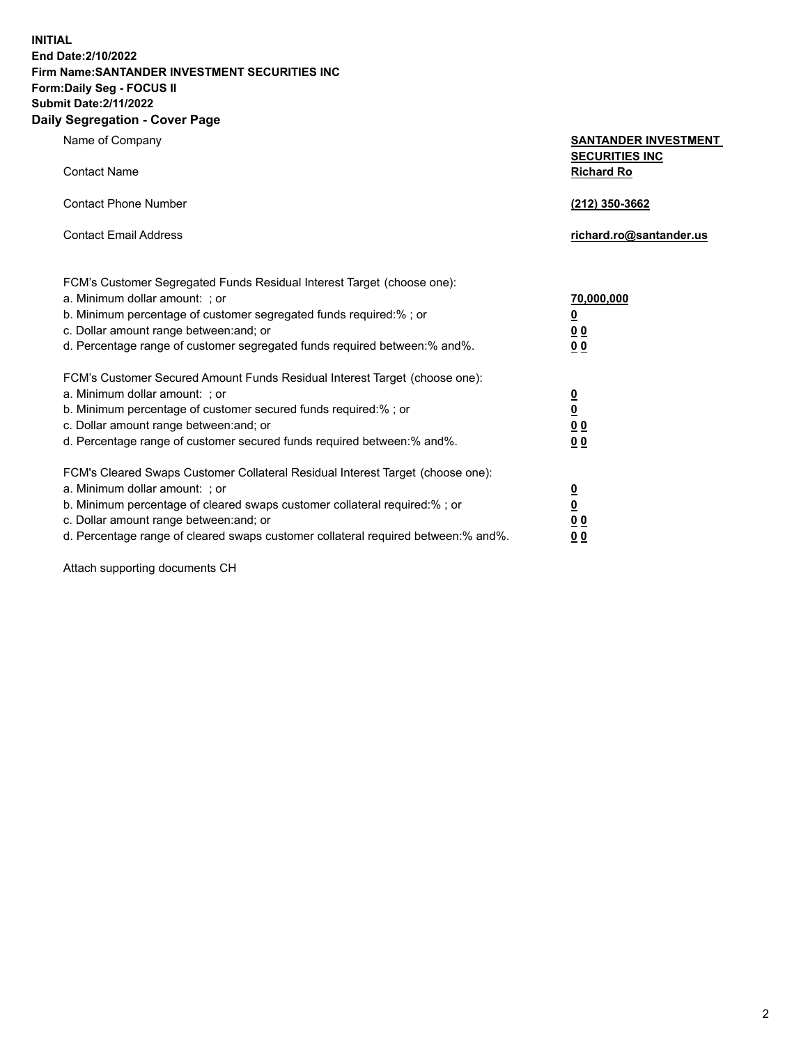**INITIAL End Date:2/10/2022 Firm Name:SANTANDER INVESTMENT SECURITIES INC Form:Daily Seg - FOCUS II Submit Date:2/11/2022 Daily Segregation - Cover Page**

| 0.91                                                                              |                                                      |  |  |  |  |
|-----------------------------------------------------------------------------------|------------------------------------------------------|--|--|--|--|
| Name of Company                                                                   | <b>SANTANDER INVESTMENT</b><br><b>SECURITIES INC</b> |  |  |  |  |
| <b>Contact Name</b>                                                               | <b>Richard Ro</b>                                    |  |  |  |  |
| <b>Contact Phone Number</b>                                                       | (212) 350-3662                                       |  |  |  |  |
| <b>Contact Email Address</b>                                                      | richard.ro@santander.us                              |  |  |  |  |
| FCM's Customer Segregated Funds Residual Interest Target (choose one):            |                                                      |  |  |  |  |
| a. Minimum dollar amount: ; or                                                    | 70,000,000                                           |  |  |  |  |
| b. Minimum percentage of customer segregated funds required:%; or                 | <u>0</u>                                             |  |  |  |  |
| c. Dollar amount range between: and; or                                           | 0 <sub>0</sub>                                       |  |  |  |  |
| d. Percentage range of customer segregated funds required between: % and %.       | 0 <sub>0</sub>                                       |  |  |  |  |
| FCM's Customer Secured Amount Funds Residual Interest Target (choose one):        |                                                      |  |  |  |  |
| a. Minimum dollar amount: ; or                                                    | $\overline{\mathbf{0}}$                              |  |  |  |  |
| b. Minimum percentage of customer secured funds required:%; or                    | $\overline{\mathbf{0}}$                              |  |  |  |  |
| c. Dollar amount range between: and; or                                           | 0 <sub>0</sub>                                       |  |  |  |  |
| d. Percentage range of customer secured funds required between: % and %.          | 0 <sub>0</sub>                                       |  |  |  |  |
| FCM's Cleared Swaps Customer Collateral Residual Interest Target (choose one):    |                                                      |  |  |  |  |
| a. Minimum dollar amount: ; or                                                    | $\overline{\mathbf{0}}$                              |  |  |  |  |
| b. Minimum percentage of cleared swaps customer collateral required:%; or         | $\overline{\mathbf{0}}$                              |  |  |  |  |
| c. Dollar amount range between: and; or                                           | 00                                                   |  |  |  |  |
| d. Percentage range of cleared swaps customer collateral required between:% and%. | 00                                                   |  |  |  |  |

Attach supporting documents CH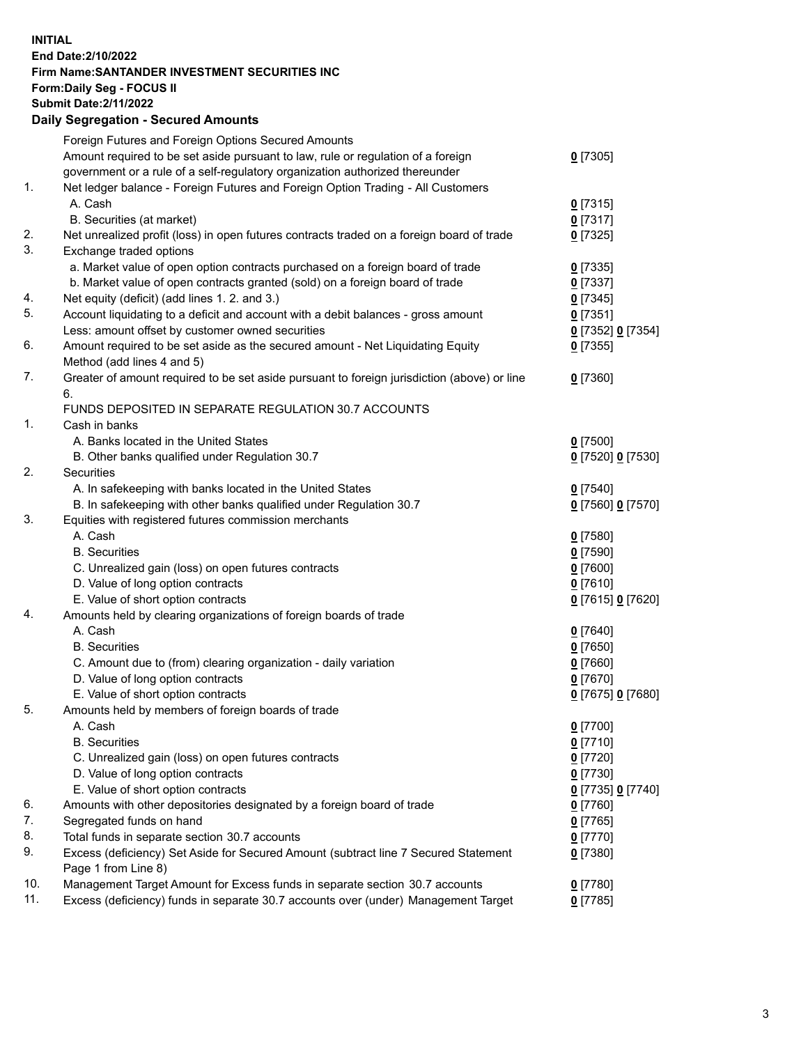## **INITIAL End Date:2/10/2022 Firm Name:SANTANDER INVESTMENT SECURITIES INC Form:Daily Seg - FOCUS II Submit Date:2/11/2022 Daily Segregation - Secured Amounts**

|     | Foreign Futures and Foreign Options Secured Amounts                                         |                   |
|-----|---------------------------------------------------------------------------------------------|-------------------|
|     | Amount required to be set aside pursuant to law, rule or regulation of a foreign            | $0$ [7305]        |
|     | government or a rule of a self-regulatory organization authorized thereunder                |                   |
| 1.  | Net ledger balance - Foreign Futures and Foreign Option Trading - All Customers             |                   |
|     | A. Cash                                                                                     | $0$ [7315]        |
|     | B. Securities (at market)                                                                   | $0$ [7317]        |
| 2.  | Net unrealized profit (loss) in open futures contracts traded on a foreign board of trade   | $0$ [7325]        |
| 3.  | Exchange traded options                                                                     |                   |
|     | a. Market value of open option contracts purchased on a foreign board of trade              | $0$ [7335]        |
|     | b. Market value of open contracts granted (sold) on a foreign board of trade                | $0$ [7337]        |
| 4.  | Net equity (deficit) (add lines 1. 2. and 3.)                                               | $0$ [7345]        |
| 5.  | Account liquidating to a deficit and account with a debit balances - gross amount           | $0$ [7351]        |
|     | Less: amount offset by customer owned securities                                            | 0 [7352] 0 [7354] |
| 6.  | Amount required to be set aside as the secured amount - Net Liquidating Equity              | $0$ [7355]        |
|     | Method (add lines 4 and 5)                                                                  |                   |
| 7.  | Greater of amount required to be set aside pursuant to foreign jurisdiction (above) or line | $0$ [7360]        |
|     | 6.                                                                                          |                   |
|     | FUNDS DEPOSITED IN SEPARATE REGULATION 30.7 ACCOUNTS                                        |                   |
| 1.  | Cash in banks                                                                               |                   |
|     | A. Banks located in the United States                                                       | $0$ [7500]        |
|     | B. Other banks qualified under Regulation 30.7                                              | 0 [7520] 0 [7530] |
| 2.  | Securities                                                                                  |                   |
|     | A. In safekeeping with banks located in the United States                                   | $0$ [7540]        |
|     | B. In safekeeping with other banks qualified under Regulation 30.7                          | 0 [7560] 0 [7570] |
| 3.  | Equities with registered futures commission merchants                                       |                   |
|     | A. Cash                                                                                     | $0$ [7580]        |
|     | <b>B.</b> Securities                                                                        | $0$ [7590]        |
|     | C. Unrealized gain (loss) on open futures contracts                                         | $0$ [7600]        |
|     | D. Value of long option contracts                                                           | $0$ [7610]        |
|     | E. Value of short option contracts                                                          | 0 [7615] 0 [7620] |
| 4.  | Amounts held by clearing organizations of foreign boards of trade                           |                   |
|     | A. Cash                                                                                     | $0$ [7640]        |
|     | <b>B.</b> Securities                                                                        | $0$ [7650]        |
|     | C. Amount due to (from) clearing organization - daily variation                             | $0$ [7660]        |
|     | D. Value of long option contracts                                                           | $0$ [7670]        |
|     | E. Value of short option contracts                                                          | 0 [7675] 0 [7680] |
| 5.  | Amounts held by members of foreign boards of trade                                          |                   |
|     | A. Cash                                                                                     | $0$ [7700]        |
|     | <b>B.</b> Securities                                                                        | $0$ [7710]        |
|     | C. Unrealized gain (loss) on open futures contracts                                         | $0$ [7720]        |
|     | D. Value of long option contracts                                                           | $0$ [7730]        |
|     | E. Value of short option contracts                                                          | 0 [7735] 0 [7740] |
| 6.  | Amounts with other depositories designated by a foreign board of trade                      | $0$ [7760]        |
| 7.  | Segregated funds on hand                                                                    | $0$ [7765]        |
| 8.  | Total funds in separate section 30.7 accounts                                               | $0$ [7770]        |
| 9.  | Excess (deficiency) Set Aside for Secured Amount (subtract line 7 Secured Statement         | $0$ [7380]        |
|     | Page 1 from Line 8)                                                                         |                   |
| 10. | Management Target Amount for Excess funds in separate section 30.7 accounts                 | $0$ [7780]        |
| 11. | Excess (deficiency) funds in separate 30.7 accounts over (under) Management Target          | $0$ [7785]        |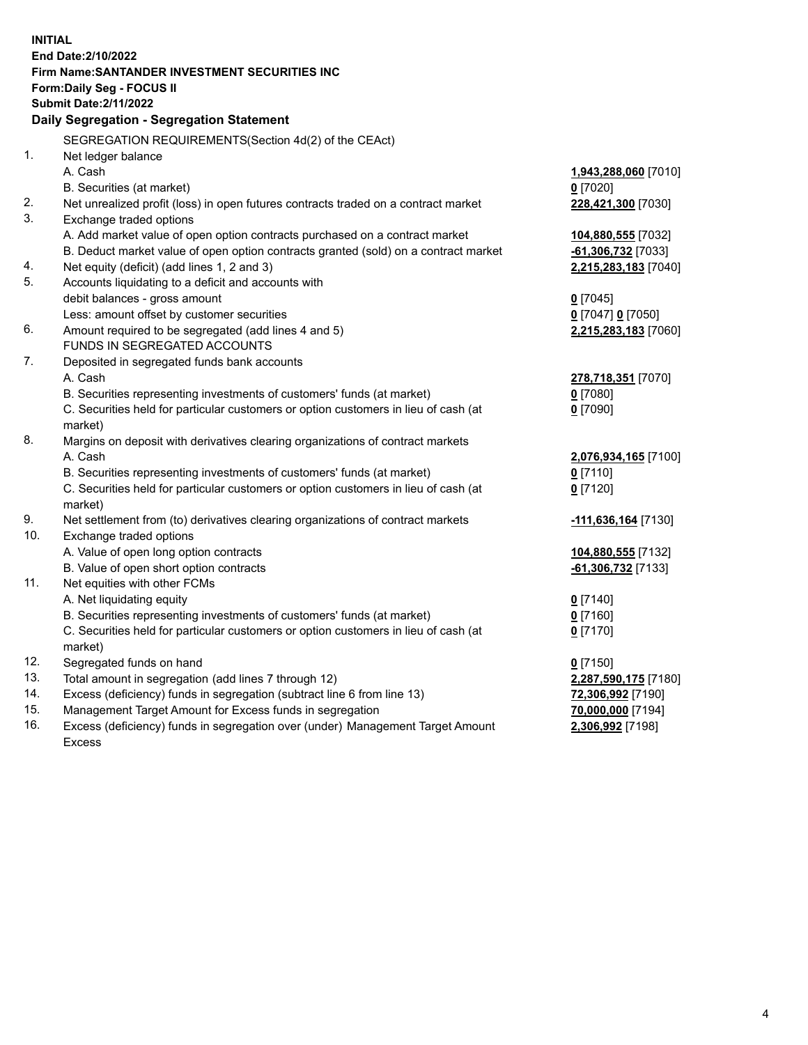| <b>INITIAL</b> |                                                                                            |                      |
|----------------|--------------------------------------------------------------------------------------------|----------------------|
|                | End Date: 2/10/2022                                                                        |                      |
|                | Firm Name: SANTANDER INVESTMENT SECURITIES INC                                             |                      |
|                | Form: Daily Seg - FOCUS II                                                                 |                      |
|                | <b>Submit Date: 2/11/2022</b>                                                              |                      |
|                | Daily Segregation - Segregation Statement                                                  |                      |
|                | SEGREGATION REQUIREMENTS(Section 4d(2) of the CEAct)                                       |                      |
| 1.             | Net ledger balance                                                                         |                      |
|                | A. Cash                                                                                    | 1,943,288,060 [7010] |
|                | B. Securities (at market)                                                                  | $0$ [7020]           |
| 2.             | Net unrealized profit (loss) in open futures contracts traded on a contract market         | 228,421,300 [7030]   |
| 3.             | Exchange traded options                                                                    |                      |
|                | A. Add market value of open option contracts purchased on a contract market                | 104,880,555 [7032]   |
|                | B. Deduct market value of open option contracts granted (sold) on a contract market        | $-61,306,732$ [7033] |
| 4.             | Net equity (deficit) (add lines 1, 2 and 3)                                                | 2,215,283,183 [7040] |
| 5.             | Accounts liquidating to a deficit and accounts with                                        |                      |
|                | debit balances - gross amount                                                              | $0$ [7045]           |
|                | Less: amount offset by customer securities                                                 | 0 [7047] 0 [7050]    |
| 6.             | Amount required to be segregated (add lines 4 and 5)                                       | 2,215,283,183 [7060] |
|                | FUNDS IN SEGREGATED ACCOUNTS                                                               |                      |
| 7.             | Deposited in segregated funds bank accounts                                                |                      |
|                | A. Cash                                                                                    | 278,718,351 [7070]   |
|                | B. Securities representing investments of customers' funds (at market)                     | $0$ [7080]           |
|                | C. Securities held for particular customers or option customers in lieu of cash (at        | $0$ [7090]           |
|                | market)                                                                                    |                      |
| 8.             | Margins on deposit with derivatives clearing organizations of contract markets             |                      |
|                | A. Cash                                                                                    | 2,076,934,165 [7100] |
|                | B. Securities representing investments of customers' funds (at market)                     | $0$ [7110]           |
|                | C. Securities held for particular customers or option customers in lieu of cash (at        | $0$ [7120]           |
| 9.             | market)<br>Net settlement from (to) derivatives clearing organizations of contract markets | 111,636,164 [7130]   |
| 10.            | Exchange traded options                                                                    |                      |
|                | A. Value of open long option contracts                                                     | 104,880,555 [7132]   |
|                | B. Value of open short option contracts                                                    | $-61,306,732$ [7133] |
| 11.            | Net equities with other FCMs                                                               |                      |
|                | A. Net liquidating equity                                                                  | $0$ [7140]           |
|                | B. Securities representing investments of customers' funds (at market)                     | $0$ [7160]           |
|                | C. Securities held for particular customers or option customers in lieu of cash (at        | $0$ [7170]           |
|                | market)                                                                                    |                      |
| 12.            | Segregated funds on hand                                                                   | $0$ [7150]           |
| 13.            | Total amount in segregation (add lines 7 through 12)                                       | 2,287,590,175 [7180] |
| 14.            | Excess (deficiency) funds in segregation (subtract line 6 from line 13)                    | 72,306,992 [7190]    |
| 15.            | Management Target Amount for Excess funds in segregation                                   | 70,000,000 [7194]    |
| 16.            | Excess (deficiency) funds in segregation over (under) Management Target Amount             | 2,306,992 [7198]     |
|                | Excess                                                                                     |                      |